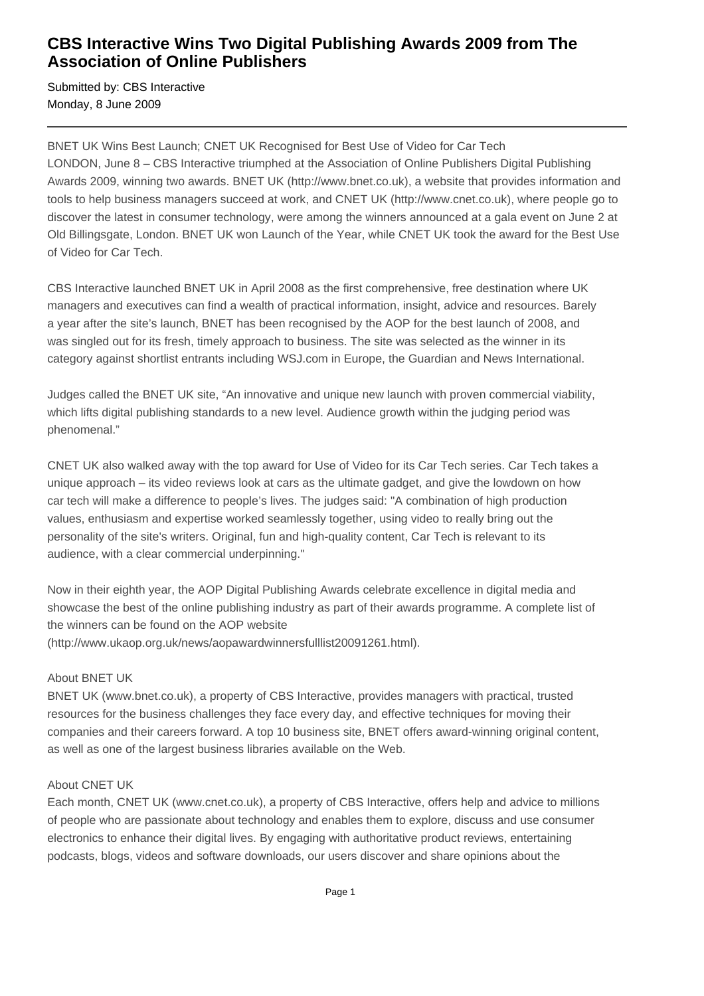## **CBS Interactive Wins Two Digital Publishing Awards 2009 from The Association of Online Publishers**

Submitted by: CBS Interactive Monday, 8 June 2009

BNET UK Wins Best Launch; CNET UK Recognised for Best Use of Video for Car Tech LONDON, June 8 – CBS Interactive triumphed at the Association of Online Publishers Digital Publishing Awards 2009, winning two awards. BNET UK (http://www.bnet.co.uk), a website that provides information and tools to help business managers succeed at work, and CNET UK (http://www.cnet.co.uk), where people go to discover the latest in consumer technology, were among the winners announced at a gala event on June 2 at Old Billingsgate, London. BNET UK won Launch of the Year, while CNET UK took the award for the Best Use of Video for Car Tech.

CBS Interactive launched BNET UK in April 2008 as the first comprehensive, free destination where UK managers and executives can find a wealth of practical information, insight, advice and resources. Barely a year after the site's launch, BNET has been recognised by the AOP for the best launch of 2008, and was singled out for its fresh, timely approach to business. The site was selected as the winner in its category against shortlist entrants including WSJ.com in Europe, the Guardian and News International.

Judges called the BNET UK site, "An innovative and unique new launch with proven commercial viability, which lifts digital publishing standards to a new level. Audience growth within the judging period was phenomenal."

CNET UK also walked away with the top award for Use of Video for its Car Tech series. Car Tech takes a unique approach – its video reviews look at cars as the ultimate gadget, and give the lowdown on how car tech will make a difference to people's lives. The judges said: "A combination of high production values, enthusiasm and expertise worked seamlessly together, using video to really bring out the personality of the site's writers. Original, fun and high-quality content, Car Tech is relevant to its audience, with a clear commercial underpinning."

Now in their eighth year, the AOP Digital Publishing Awards celebrate excellence in digital media and showcase the best of the online publishing industry as part of their awards programme. A complete list of the winners can be found on the AOP website (http://www.ukaop.org.uk/news/aopawardwinnersfulllist20091261.html).

### About BNET UK

BNET UK (www.bnet.co.uk), a property of CBS Interactive, provides managers with practical, trusted resources for the business challenges they face every day, and effective techniques for moving their companies and their careers forward. A top 10 business site, BNET offers award-winning original content, as well as one of the largest business libraries available on the Web.

### About CNET UK

Each month, CNET UK (www.cnet.co.uk), a property of CBS Interactive, offers help and advice to millions of people who are passionate about technology and enables them to explore, discuss and use consumer electronics to enhance their digital lives. By engaging with authoritative product reviews, entertaining podcasts, blogs, videos and software downloads, our users discover and share opinions about the